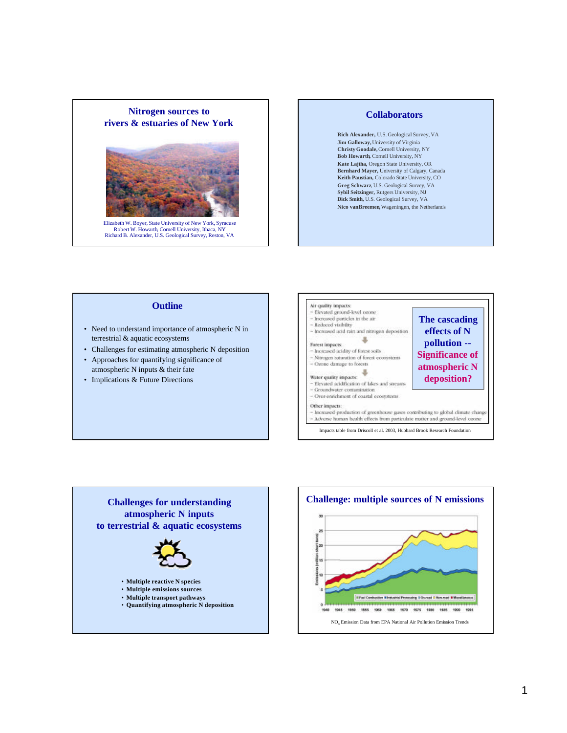

#### **Collaborators**

**Rich Alexander,** U.S. Geological Survey, VA **Jim Galloway,** University of Virginia **Christy Goodale,** Cornell University, NY **Bob Howarth,** Cornell University, NY **Kate Lajtha,** Oregon State University, OR **Bernhard Mayer,** University of Calgary, Canada **Keith Paustian,** Colorado State University, CO **Greg Schwarz**, U.S. Geological Survey, VA **Sybil Seitzinger,** Rutgers University, NJ **Dick Smith,** U.S. Geological Survey, VA **Nico vanBreemen,** Wageningen, the Netherlands

## **Outline**

- Need to understand importance of atmospheric N in terrestrial & aquatic ecosystems
- Challenges for estimating atmospheric N deposition
- Approaches for quantifying significance of
- atmospheric N inputs & their fate • Implications & Future Directions
- 





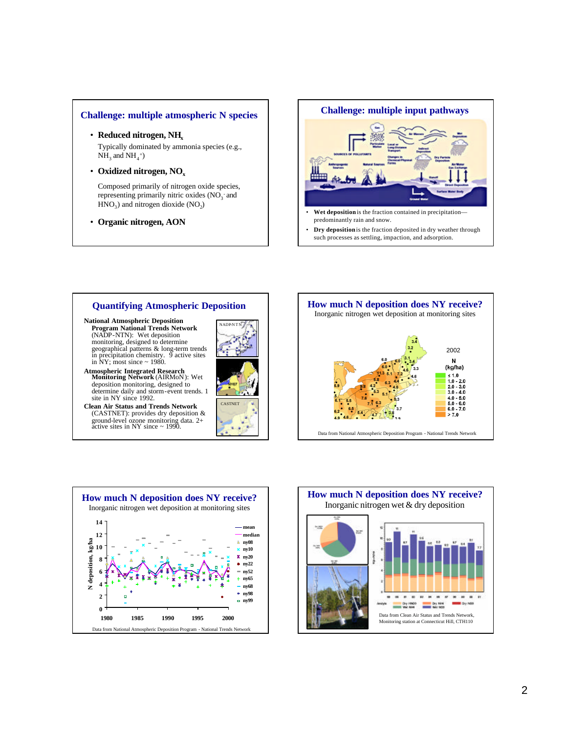### **Challenge: multiple atmospheric N species**

- Reduced nitrogen, NH<sub>x</sub> Typically dominated by ammonia species (e.g.,  $NH<sub>3</sub>$  and  $NH<sub>4</sub><sup>+</sup>)$
- Oxidized nitrogen, NO<sub>x</sub>

Composed primarily of nitrogen oxide species, representing primarily nitric oxides  $(NO<sub>3</sub>)$  and  $HNO<sub>3</sub>$ ) and nitrogen dioxide (NO<sub>2</sub>)

• **Organic nitrogen, AON** 

**Challenge: multiple input pathways**  Wet deposition is the fraction contained in precipitation predominantly rain and snow. • **Dry deposition** is the fraction deposited in dry weather through such processes as settling, impaction, and adsorption.







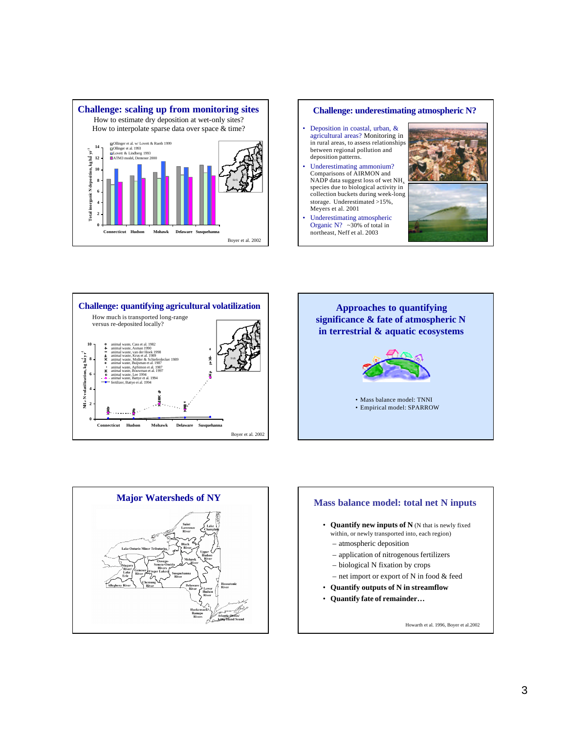

#### **Challenge: underestimating atmospheric N?**

- Deposition in coastal, urban, & agricultural areas? Monitoring in in rural areas, to assess relationships between regional pollution and deposition patterns.
- Underestimating ammonium? Comparisons of AIRMON and NADP data suggest loss of wet  $NH<sub>x</sub>$ species due to biological activity in collection buckets during week-long storage. Underestimated >15%, Meyers et al. 2001
- Underestimating atmospheric Organic N?  $\sim$ 30% of total in northeast, Neff et al. 2003











Howarth et al. 1996, Boyer et al.2002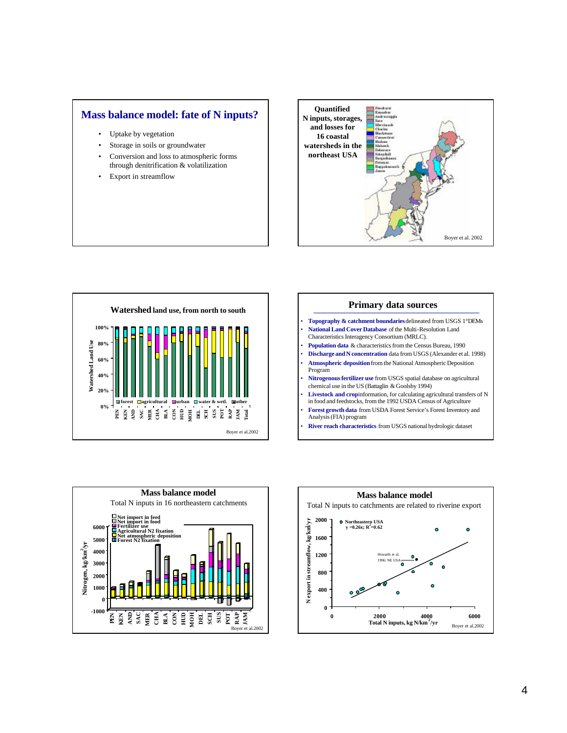## **Mass balance model: fate of N inputs?**

- Uptake by vegetation
- Storage in soils or groundwater
- Conversion and loss to atmospheric forms through denitrification & volatilization
- • Export in streamflow









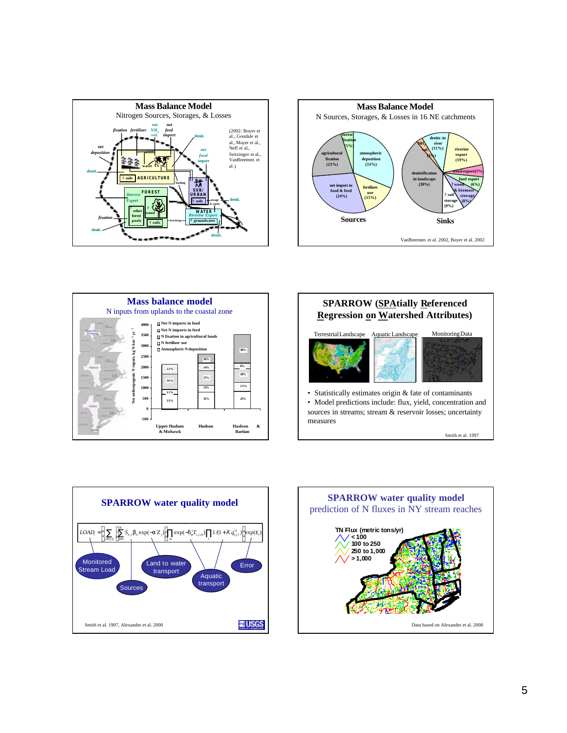